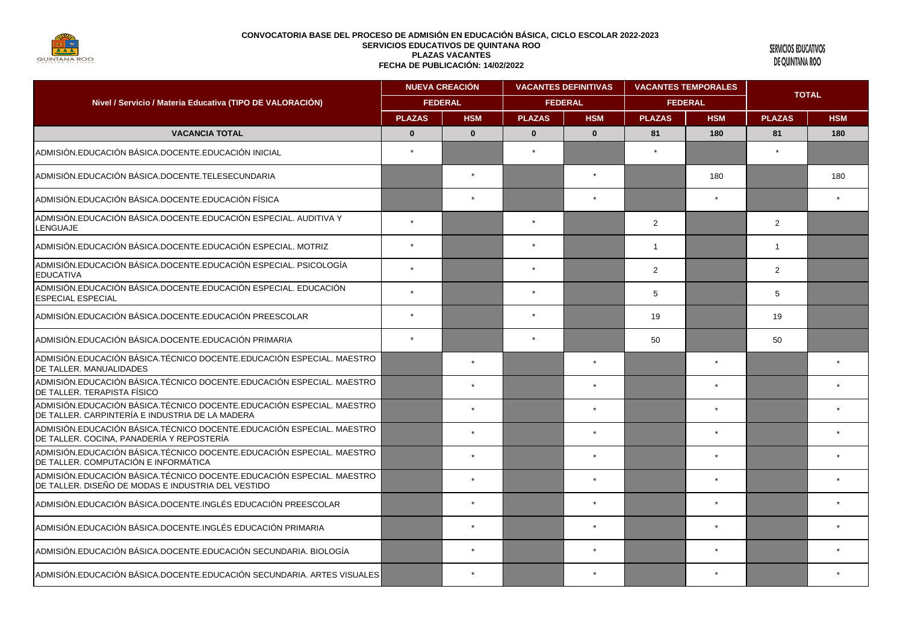

SERVICIOS EDUCATIVOS DE QUINTANA ROO

| Nivel / Servicio / Materia Educativa (TIPO DE VALORACIÓN)                                                                    | <b>NUEVA CREACIÓN</b><br><b>FEDERAL</b> |              | <b>VACANTES DEFINITIVAS</b><br><b>FEDERAL</b> |              | <b>VACANTES TEMPORALES</b><br><b>FEDERAL</b> |         | <b>TOTAL</b>   |     |
|------------------------------------------------------------------------------------------------------------------------------|-----------------------------------------|--------------|-----------------------------------------------|--------------|----------------------------------------------|---------|----------------|-----|
|                                                                                                                              |                                         |              |                                               |              |                                              |         |                |     |
|                                                                                                                              | <b>VACANCIA TOTAL</b>                   | $\mathbf{0}$ | $\mathbf{0}$                                  | $\mathbf{0}$ | $\mathbf{0}$                                 | 81      | 180            | 81  |
| ADMISIÓN.EDUCACIÓN BÁSICA.DOCENTE.EDUCACIÓN INICIAL                                                                          | $\star$                                 |              |                                               |              |                                              |         |                |     |
| ADMISIÓN.EDUCACIÓN BÁSICA.DOCENTE.TELESECUNDARIA                                                                             |                                         | $\star$      |                                               | $\star$      |                                              | 180     |                | 180 |
| ADMISIÓN.EDUCACIÓN BÁSICA.DOCENTE.EDUCACIÓN FÍSICA                                                                           |                                         |              |                                               |              |                                              |         |                |     |
| ADMISIÓN.EDUCACIÓN BÁSICA.DOCENTE.EDUCACIÓN ESPECIAL. AUDITIVA Y<br><b>LENGUAJE</b>                                          | $\star$                                 |              | $\star$                                       |              | $\overline{2}$                               |         | $\overline{2}$ |     |
| ADMISIÓN EDUCACIÓN BÁSICA DOCENTE EDUCACIÓN ESPECIAL, MOTRIZ                                                                 |                                         |              |                                               |              | $\mathbf 1$                                  |         | $\mathbf{1}$   |     |
| ADMISIÓN.EDUCACIÓN BÁSICA.DOCENTE.EDUCACIÓN ESPECIAL. PSICOLOGÍA<br><b>EDUCATIVA</b>                                         |                                         |              | $\star$                                       |              | $\overline{2}$                               |         | 2              |     |
| ADMISIÓN.EDUCACIÓN BÁSICA.DOCENTE.EDUCACIÓN ESPECIAL. EDUCACIÓN<br><b>ESPECIAL ESPECIAL</b>                                  |                                         |              |                                               |              | 5                                            |         | 5              |     |
| ADMISIÓN.EDUCACIÓN BÁSICA.DOCENTE.EDUCACIÓN PREESCOLAR                                                                       | $\star$                                 |              | $\star$                                       |              | 19                                           |         | 19             |     |
| ADMISIÓN.EDUCACIÓN BÁSICA.DOCENTE.EDUCACIÓN PRIMARIA                                                                         | $\star$                                 |              | $\star$                                       |              | 50                                           |         | 50             |     |
| ADMISIÓN.EDUCACIÓN BÁSICA.TÉCNICO DOCENTE.EDUCACIÓN ESPECIAL. MAESTRO<br>DE TALLER, MANUALIDADES                             |                                         | $\star$      |                                               | $\star$      |                                              | $\star$ |                |     |
| ADMISIÓN.EDUCACIÓN BÁSICA.TÉCNICO DOCENTE.EDUCACIÓN ESPECIAL. MAESTRO<br>IDE TALLER. TERAPISTA FÍSICO                        |                                         | $\star$      |                                               | $\star$      |                                              |         |                |     |
| ADMISIÓN.EDUCACIÓN BÁSICA. TÉCNICO DOCENTE.EDUCACIÓN ESPECIAL. MAESTRO<br>DE TALLER. CARPINTERÍA E INDUSTRIA DE LA MADERA    |                                         | $\star$      |                                               | $\star$      |                                              |         |                |     |
| ADMISIÓN EDUCACIÓN BÁSICA TÉCNICO DOCENTE EDUCACIÓN ESPECIAL. MAESTRO<br>DE TALLER. COCINA, PANADERÍA Y REPOSTERÍA           |                                         | $\star$      |                                               | $\star$      |                                              | $\star$ |                |     |
| ADMISIÓN EDUCACIÓN BÁSICA. TÉCNICO DOCENTE EDUCACIÓN ESPECIAL. MAESTRO<br>DE TALLER. COMPUTACIÓN E INFORMÁTICA               |                                         | $\star$      |                                               | $\star$      |                                              | $\star$ |                |     |
| ADMISIÓN EDUCACIÓN BÁSICA. TÉCNICO DOCENTE EDUCACIÓN ESPECIAL. MAESTRO<br>DE TALLER. DISEÑO DE MODAS E INDUSTRIA DEL VESTIDO |                                         | $\star$      |                                               | $\star$      |                                              | $\star$ |                |     |
| ADMISIÓN.EDUCACIÓN BÁSICA.DOCENTE.INGLÉS EDUCACIÓN PREESCOLAR                                                                |                                         | $\star$      |                                               | $\star$      |                                              |         |                |     |
| ADMISIÓN.EDUCACIÓN BÁSICA.DOCENTE.INGLÉS EDUCACIÓN PRIMARIA                                                                  |                                         | $\star$      |                                               | $\star$      |                                              | $\star$ |                |     |
| ADMISIÓN.EDUCACIÓN BÁSICA.DOCENTE.EDUCACIÓN SECUNDARIA. BIOLOGÍA                                                             |                                         |              |                                               |              |                                              |         |                |     |
| ADMISIÓN EDUCACIÓN BÁSICA DOCENTE EDUCACIÓN SECUNDARIA. ARTES VISUALES                                                       |                                         | $\star$      |                                               |              |                                              |         |                |     |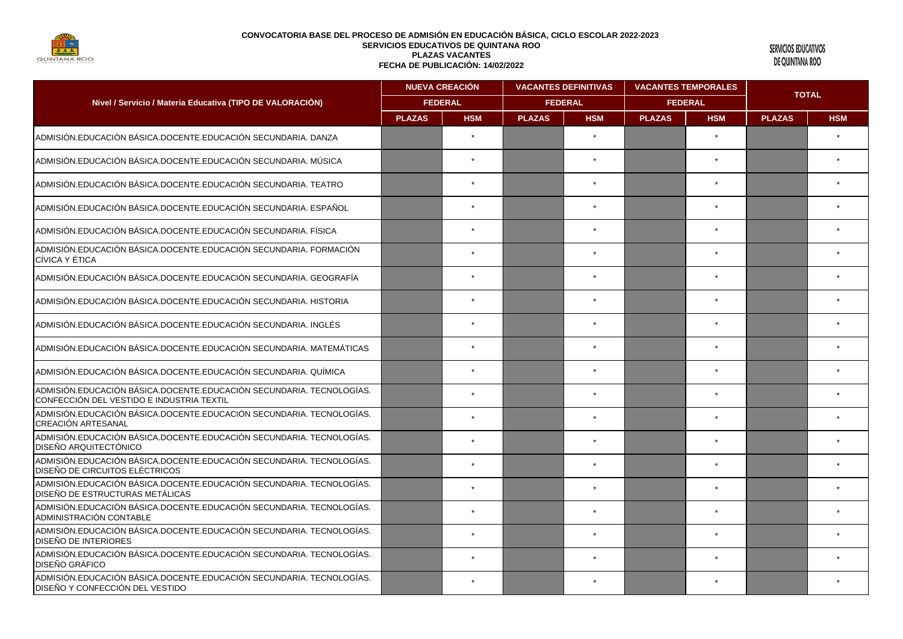

SERVICIOS EDUCATIVOS DE QUINTANA ROO

| Nivel / Servicio / Materia Educativa (TIPO DE VALORACIÓN)                                                         | <b>NUEVA CREACIÓN</b><br><b>FEDERAL</b> |         | <b>VACANTES DEFINITIVAS</b><br><b>FEDERAL</b> |         | <b>VACANTES TEMPORALES</b><br><b>FEDERAL</b> |           | <b>TOTAL</b> |  |
|-------------------------------------------------------------------------------------------------------------------|-----------------------------------------|---------|-----------------------------------------------|---------|----------------------------------------------|-----------|--------------|--|
|                                                                                                                   |                                         |         |                                               |         |                                              |           |              |  |
| ADMISIÓN.EDUCACIÓN BÁSICA.DOCENTE.EDUCACIÓN SECUNDARIA. DANZA                                                     |                                         | $\star$ |                                               | $\star$ |                                              | $\star$   |              |  |
| ADMISIÓN.EDUCACIÓN BÁSICA.DOCENTE.EDUCACIÓN SECUNDARIA. MÚSICA                                                    |                                         | $\star$ |                                               |         |                                              |           |              |  |
| ADMISIÓN.EDUCACIÓN BÁSICA.DOCENTE.EDUCACIÓN SECUNDARIA. TEATRO                                                    |                                         | $\star$ |                                               | $\star$ |                                              | $\star$   |              |  |
| ADMISIÓN.EDUCACIÓN BÁSICA.DOCENTE.EDUCACIÓN SECUNDARIA. ESPAÑOL                                                   |                                         | $\star$ |                                               |         |                                              |           |              |  |
| ADMISIÓN.EDUCACIÓN BÁSICA.DOCENTE.EDUCACIÓN SECUNDARIA. FÍSICA                                                    |                                         | $\star$ |                                               |         |                                              | $\star$   |              |  |
| ADMISIÓN.EDUCACIÓN BÁSICA.DOCENTE.EDUCACIÓN SECUNDARIA. FORMACIÓN<br>CÍVICA Y ÉTICA                               |                                         | $\star$ |                                               |         |                                              | $\bullet$ |              |  |
| ADMISIÓN.EDUCACIÓN BÁSICA.DOCENTE.EDUCACIÓN SECUNDARIA. GEOGRAFÍA                                                 |                                         | $\star$ |                                               |         |                                              |           |              |  |
| ADMISIÓN.EDUCACIÓN BÁSICA.DOCENTE.EDUCACIÓN SECUNDARIA. HISTORIA                                                  |                                         | $\star$ |                                               |         |                                              | $\star$   |              |  |
| ADMISIÓN.EDUCACIÓN BÁSICA.DOCENTE.EDUCACIÓN SECUNDARIA. INGLÉS                                                    |                                         | $\star$ |                                               |         |                                              |           |              |  |
| ADMISIÓN.EDUCACIÓN BÁSICA.DOCENTE.EDUCACIÓN SECUNDARIA. MATEMÁTICAS                                               |                                         | $\star$ |                                               |         |                                              | $\star$   |              |  |
| ADMISIÓN.EDUCACIÓN BÁSICA.DOCENTE.EDUCACIÓN SECUNDARIA. QUÍMICA                                                   |                                         | $\star$ |                                               |         |                                              |           |              |  |
| ADMISIÓN.EDUCACIÓN BÁSICA.DOCENTE.EDUCACIÓN SECUNDARIA. TECNOLOGÍAS.<br>CONFECCIÓN DEL VESTIDO E INDUSTRIA TEXTIL |                                         | $\star$ |                                               |         |                                              |           |              |  |
| ADMISIÓN.EDUCACIÓN BÁSICA.DOCENTE.EDUCACIÓN SECUNDARIA. TECNOLOGÍAS.<br>CREACIÓN ARTESANAL                        |                                         | $\star$ |                                               |         |                                              | $\star$   |              |  |
| ADMISIÓN.EDUCACIÓN BÁSICA.DOCENTE.EDUCACIÓN SECUNDARIA. TECNOLOGÍAS.<br>DISEÑO ARQUITECTÓNICO                     |                                         | $\star$ |                                               |         |                                              |           |              |  |
| ADMISIÓN.EDUCACIÓN BÁSICA.DOCENTE.EDUCACIÓN SECUNDARIA. TECNOLOGÍAS.<br>DISEÑO DE CIRCUITOS ELÉCTRICOS            |                                         | $\star$ |                                               |         |                                              | $\star$   |              |  |
| ADMISIÓN.EDUCACIÓN BÁSICA.DOCENTE.EDUCACIÓN SECUNDARIA. TECNOLOGÍAS.<br><b>DISEÑO DE ESTRUCTURAS METÁLICAS</b>    |                                         | $\star$ |                                               |         |                                              |           |              |  |
| ADMISIÓN.EDUCACIÓN BÁSICA.DOCENTE.EDUCACIÓN SECUNDARIA. TECNOLOGÍAS.<br>ADMINISTRACIÓN CONTABLE                   |                                         | $\star$ |                                               | $\star$ |                                              | $\star$   |              |  |
| ADMISIÓN.EDUCACIÓN BÁSICA.DOCENTE.EDUCACIÓN SECUNDARIA. TECNOLOGÍAS.<br>DISEÑO DE INTERIORES                      |                                         | $\star$ |                                               |         |                                              | $\star$   |              |  |
| ADMISIÓN.EDUCACIÓN BÁSICA.DOCENTE.EDUCACIÓN SECUNDARIA. TECNOLOGÍAS.<br><b>DISEÑO GRÁFICO</b>                     |                                         | $\star$ |                                               |         |                                              |           |              |  |
| ADMISIÓN.EDUCACIÓN BÁSICA.DOCENTE.EDUCACIÓN SECUNDARIA. TECNOLOGÍAS.<br>DISEÑO Y CONFECCIÓN DEL VESTIDO           |                                         | $\star$ |                                               |         |                                              |           |              |  |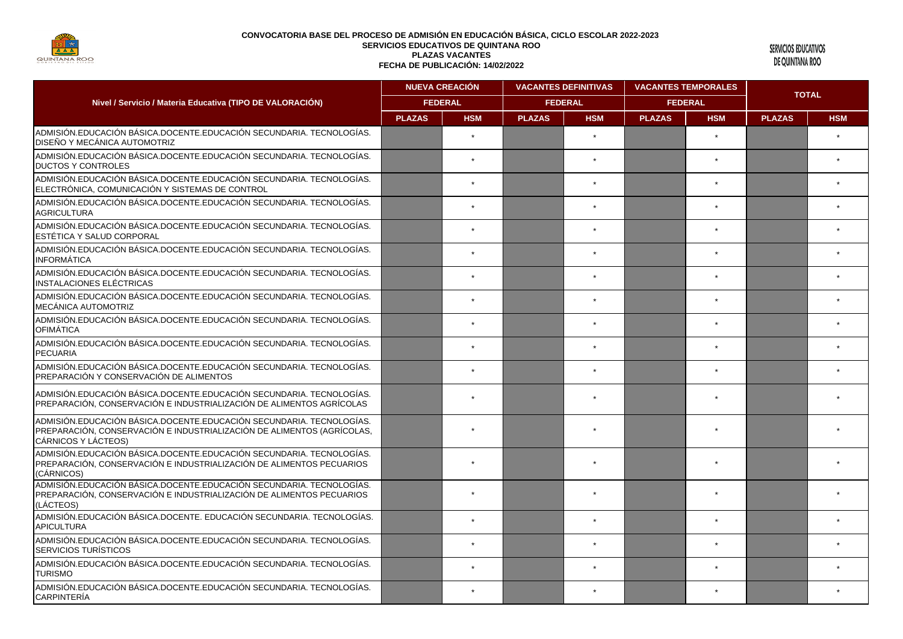

SERVICIOS EDUCATIVOS DE QUINTANA ROO

|                                                                                                                                                                        | <b>NUEVA CREACIÓN</b><br><b>FEDERAL</b> |            | <b>VACANTES DEFINITIVAS</b><br><b>FEDERAL</b> |            | <b>VACANTES TEMPORALES</b><br><b>FEDERAL</b> |            | <b>TOTAL</b>  |            |
|------------------------------------------------------------------------------------------------------------------------------------------------------------------------|-----------------------------------------|------------|-----------------------------------------------|------------|----------------------------------------------|------------|---------------|------------|
| Nivel / Servicio / Materia Educativa (TIPO DE VALORACIÓN)                                                                                                              |                                         |            |                                               |            |                                              |            |               |            |
|                                                                                                                                                                        | <b>PLAZAS</b>                           | <b>HSM</b> | <b>PLAZAS</b>                                 | <b>HSM</b> | <b>PLAZAS</b>                                | <b>HSM</b> | <b>PLAZAS</b> | <b>HSM</b> |
| ADMISIÓN EDUCACIÓN BÁSICA DOCENTE EDUCACIÓN SECUNDARIA. TECNOLOGÍAS.<br><b>DISEÑO Y MECÁNICA AUTOMOTRIZ</b>                                                            |                                         | $\star$    |                                               |            |                                              | $\star$    |               |            |
| ADMISIÓN.EDUCACIÓN BÁSICA.DOCENTE.EDUCACIÓN SECUNDARIA. TECNOLOGÍAS.<br><b>DUCTOS Y CONTROLES</b>                                                                      |                                         |            |                                               |            |                                              |            |               |            |
| ADMISIÓN.EDUCACIÓN BÁSICA.DOCENTE.EDUCACIÓN SECUNDARIA. TECNOLOGÍAS.<br>ELECTRÓNICA, COMUNICACIÓN Y SISTEMAS DE CONTROL                                                |                                         | $\star$    |                                               |            |                                              |            |               |            |
| ADMISIÓN.EDUCACIÓN BÁSICA.DOCENTE.EDUCACIÓN SECUNDARIA. TECNOLOGÍAS.<br><b>AGRICULTURA</b>                                                                             |                                         | $\star$    |                                               | $\star$    |                                              | $\star$    |               |            |
| ADMISIÓN.EDUCACIÓN BÁSICA.DOCENTE.EDUCACIÓN SECUNDARIA. TECNOLOGÍAS.<br><b>LESTÉTICA Y SALUD CORPORAL</b>                                                              |                                         |            |                                               |            |                                              |            |               |            |
| ADMISIÓN.EDUCACIÓN BÁSICA.DOCENTE.EDUCACIÓN SECUNDARIA. TECNOLOGÍAS.<br>INFORMÁTICA                                                                                    |                                         | $\star$    |                                               | $\star$    |                                              |            |               |            |
| ADMISIÓN.EDUCACIÓN BÁSICA.DOCENTE.EDUCACIÓN SECUNDARIA. TECNOLOGÍAS.<br>IINSTALACIONES ELÉCTRICAS                                                                      |                                         | $\star$    |                                               | $\star$    |                                              | $\star$    |               |            |
| ADMISIÓN.EDUCACIÓN BÁSICA.DOCENTE.EDUCACIÓN SECUNDARIA. TECNOLOGÍAS.<br><b>MECÁNICA AUTOMOTRIZ</b>                                                                     |                                         |            |                                               |            |                                              |            |               |            |
| ADMISIÓN EDUCACIÓN BÁSICA DOCENTE EDUCACIÓN SECUNDARIA. TECNOLOGÍAS.<br><b>OFIMÁTICA</b>                                                                               |                                         | $\star$    |                                               |            |                                              |            |               |            |
| ADMISIÓN EDUCACIÓN BÁSICA DOCENTE EDUCACIÓN SECUNDARIA. TECNOLOGÍAS.<br>PECUARIA                                                                                       |                                         | $\star$    |                                               | $\star$    |                                              | $\star$    |               |            |
| ADMISIÓN.EDUCACIÓN BÁSICA.DOCENTE.EDUCACIÓN SECUNDARIA. TECNOLOGÍAS.<br>PREPARACIÓN Y CONSERVACIÓN DE ALIMENTOS                                                        |                                         |            |                                               |            |                                              |            |               |            |
| ADMISIÓN.EDUCACIÓN BÁSICA.DOCENTE.EDUCACIÓN SECUNDARIA. TECNOLOGÍAS.<br>PREPARACIÓN, CONSERVACIÓN E INDUSTRIALIZACIÓN DE ALIMENTOS AGRÍCOLAS                           |                                         |            |                                               |            |                                              |            |               |            |
| ADMISIÓN EDUCACIÓN BÁSICA DOCENTE EDUCACIÓN SECUNDARIA. TECNOLOGÍAS.<br>IPREPARACIÓN. CONSERVACIÓN E INDUSTRIALIZACIÓN DE ALIMENTOS (AGRÍCOLAS.<br>CÁRNICOS Y LÁCTEOS) |                                         |            |                                               |            |                                              |            |               |            |
| ADMISIÓN.EDUCACIÓN BÁSICA.DOCENTE.EDUCACIÓN SECUNDARIA. TECNOLOGÍAS.<br>PREPARACIÓN, CONSERVACIÓN E INDUSTRIALIZACIÓN DE ALIMENTOS PECUARIOS<br>(CÁRNICOS)             |                                         |            |                                               |            |                                              |            |               |            |
| ADMISIÓN.EDUCACIÓN BÁSICA.DOCENTE.EDUCACIÓN SECUNDARIA. TECNOLOGÍAS.<br>PREPARACIÓN, CONSERVACIÓN E INDUSTRIALIZACIÓN DE ALIMENTOS PECUARIOS<br>(LÁCTEOS)              |                                         | $\star$    |                                               |            |                                              |            |               |            |
| ADMISIÓN.EDUCACIÓN BÁSICA.DOCENTE. EDUCACIÓN SECUNDARIA. TECNOLOGÍAS.<br><b>APICULTURA</b>                                                                             |                                         | $\star$    |                                               |            |                                              |            |               |            |
| ADMISIÓN.EDUCACIÓN BÁSICA.DOCENTE.EDUCACIÓN SECUNDARIA. TECNOLOGÍAS.<br><b>SERVICIOS TURÍSTICOS</b>                                                                    |                                         | $\star$    |                                               |            |                                              | $\star$    |               |            |
| ADMISIÓN. EDUCACIÓN BÁSICA. DOCENTE. EDUCACIÓN SECUNDARIA. TECNOLOGÍAS.<br><b>TURISMO</b>                                                                              |                                         | $\star$    |                                               |            |                                              |            |               |            |
| ADMISIÓN. EDUCACIÓN BÁSICA. DOCENTE. EDUCACIÓN SECUNDARIA. TECNOLOGÍAS.<br><b>CARPINTERÍA</b>                                                                          |                                         | $\star$    |                                               |            |                                              |            |               |            |